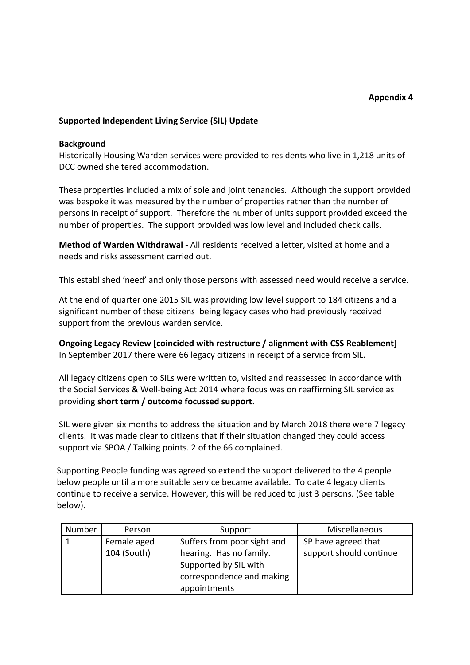### **Supported Independent Living Service (SIL) Update**

#### **Background**

Historically Housing Warden services were provided to residents who live in 1,218 units of DCC owned sheltered accommodation.

These properties included a mix of sole and joint tenancies. Although the support provided was bespoke it was measured by the number of properties rather than the number of persons in receipt of support. Therefore the number of units support provided exceed the number of properties. The support provided was low level and included check calls.

**Method of Warden Withdrawal -** All residents received a letter, visited at home and a needs and risks assessment carried out.

This established 'need' and only those persons with assessed need would receive a service.

At the end of quarter one 2015 SIL was providing low level support to 184 citizens and a significant number of these citizens being legacy cases who had previously received support from the previous warden service.

**Ongoing Legacy Review [coincided with restructure / alignment with CSS Reablement]** In September 2017 there were 66 legacy citizens in receipt of a service from SIL.

All legacy citizens open to SILs were written to, visited and reassessed in accordance with the Social Services & Well-being Act 2014 where focus was on reaffirming SIL service as providing **short term / outcome focussed support**.

SIL were given six months to address the situation and by March 2018 there were 7 legacy clients. It was made clear to citizens that if their situation changed they could access support via SPOA / Talking points. 2 of the 66 complained.

Supporting People funding was agreed so extend the support delivered to the 4 people below people until a more suitable service became available. To date 4 legacy clients continue to receive a service. However, this will be reduced to just 3 persons. (See table below).

| Number | Person      | Support                     | Miscellaneous           |
|--------|-------------|-----------------------------|-------------------------|
|        | Female aged | Suffers from poor sight and | SP have agreed that     |
|        | 104 (South) | hearing. Has no family.     | support should continue |
|        |             | Supported by SIL with       |                         |
|        |             | correspondence and making   |                         |
|        |             | appointments                |                         |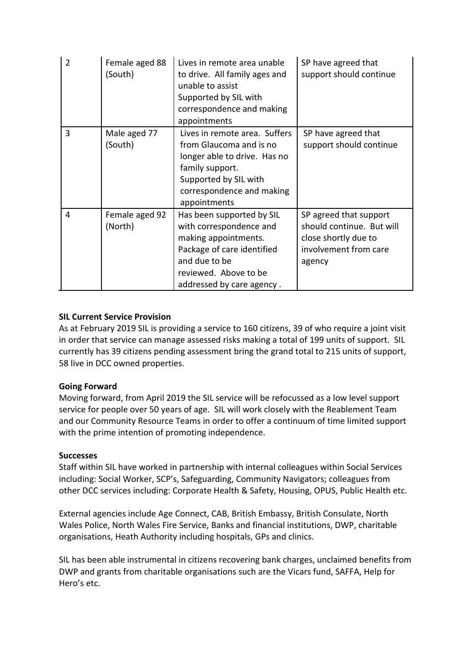| $\overline{2}$ | Female aged 88<br>(South) | Lives in remote area unable<br>to drive. All family ages and<br>unable to assist<br>Supported by SIL with<br>correspondence and making<br>appointments                            | SP have agreed that<br>support should continue                                                                 |
|----------------|---------------------------|-----------------------------------------------------------------------------------------------------------------------------------------------------------------------------------|----------------------------------------------------------------------------------------------------------------|
| 3              | Male aged 77<br>(South)   | Lives in remote area. Suffers<br>from Glaucoma and is no<br>longer able to drive. Has no<br>family support.<br>Supported by SIL with<br>correspondence and making<br>appointments | SP have agreed that<br>support should continue                                                                 |
| 4              | Female aged 92<br>(North) | Has been supported by SIL<br>with correspondence and<br>making appointments.<br>Package of care identified<br>and due to be<br>reviewed. Above to be<br>addressed by care agency. | SP agreed that support<br>should continue. But will<br>close shortly due to<br>involvement from care<br>agency |

# **SIL Current Service Provision**

As at February 2019 SIL is providing a service to 160 citizens, 39 of who require a joint visit in order that service can manage assessed risks making a total of 199 units of support. SIL currently has 39 citizens pending assessment bring the grand total to 215 units of support, 58 live in DCC owned properties.

## **Going Forward**

Moving forward, from April 2019 the SIL service will be refocussed as a low level support service for people over 50 years of age. SIL will work closely with the Reablement Team and our Community Resource Teams in order to offer a continuum of time limited support with the prime intention of promoting independence.

## **Successes**

Staff within SIL have worked in partnership with internal colleagues within Social Services including: Social Worker, SCP's, Safeguarding, Community Navigators; colleagues from other DCC services including: Corporate Health & Safety, Housing, OPUS, Public Health etc.

External agencies include Age Connect, CAB, British Embassy, British Consulate, North Wales Police, North Wales Fire Service, Banks and financial institutions, DWP, charitable organisations, Heath Authority including hospitals, GPs and clinics.

SIL has been able instrumental in citizens recovering bank charges, unclaimed benefits from DWP and grants from charitable organisations such are the Vicars fund, SAFFA, Help for Hero's etc.